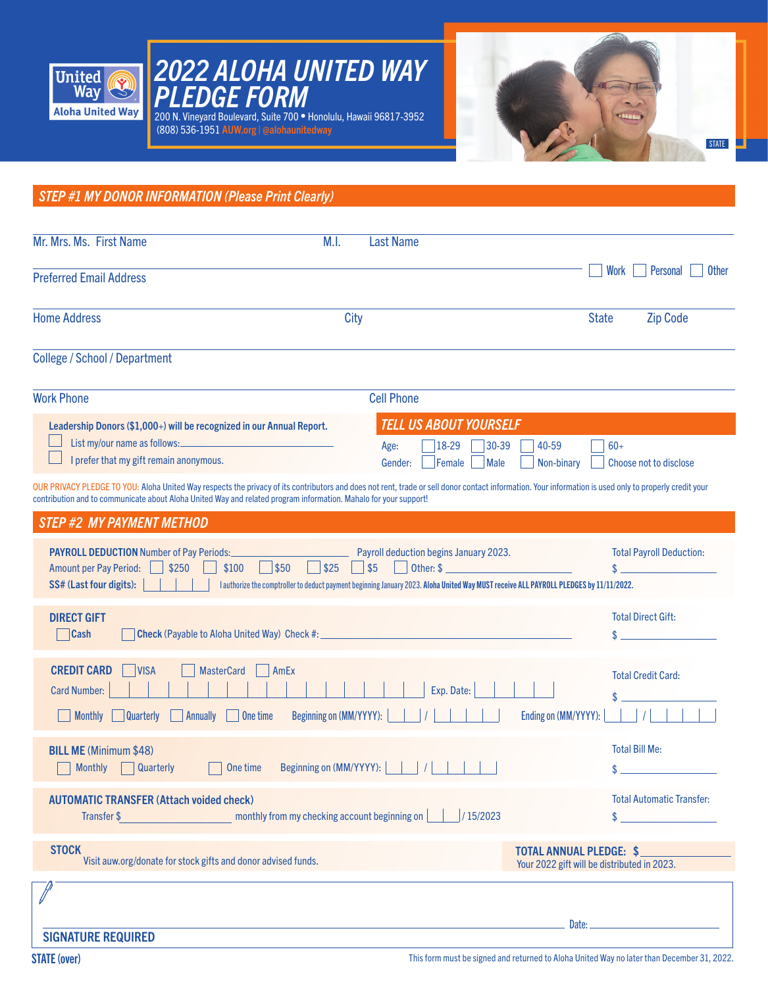

# *2022 ALOHA UNITED WAY PLEDGE FORM*

200 N. Vineyard Boulevard, Suite 700 • Honolulu, Hawaii 96817-3952 (808) 536-1951 AUW.org | @alohaunitedway



*STEP #1 MY DONOR INFORMATION (Please Print Clearly)* OUR PRIVACY PLEDGE TO YOU: Aloha United Way respects the privacy of its contributors and does not rent, trade or sell donor contact information. Your information is used only to properly credit your contribution and to communicate about Aloha United Way and related program information. Mahalo for your support! Mr. Mrs. Ms. First Name M.I. Last Name Preferred Email Address Home Address and the City City of the City of the State Cip Code College / School / Department Work Phone Cell Phone DIRECT GIFT Cash Check (Payable to Aloha United Way) Check #: AUTOMATIC TRANSFER (Attach voided check) Transfer \$ 15/2023 monthly from my checking account beginning on 15/2023 *STEP #2 MY PAYMENT METHOD* Total Direct Gift: Total Payroll Deduction:  $\mathbf{\$}$  $\hat{\mathbf{x}}$  $\sim$  $\mathsf{\$}$  . Total Automatic Transfer: PAYROLL DEDUCTION Number of Pay Periods: Payroll deduction begins January 2023. Amount per Pay Period:  $\Box$  \$250  $\Box$  \$100  $\Box$  \$50  $\Box$  \$25  $\Box$  \$5  $\Box$  Other: \$ SS# (Last four digits): | | | | | authorize the comptroller to deduct payment beginning January 2023. Aloha United Way MUST receive ALL PAYROLL PLEDGES by 11/11/2022. Date: SIGNATURE REQUIRED Your 2022 gift will be distributed in 2023. Work Personal Other STOCK TOTAL ANNUAL PLEDGE: \$ Visit auw.org/donate for stock gifts and donor advised funds. Leadership Donors (\$1,000+) will be recognized in our Annual Report. List my/our name as follows: I prefer that my gift remain anonymous. *TELL US ABOUT YOURSELF*  Age: 18-29 30-39 40-59 60+ Gender: Female Male Non-binary Choose not to disclose BILL ME (Minimum \$48) Monthly Quarterly 10ne time Beginning on (MM/YYYY): | | | | | | | | Total Bill Me: CREDIT CARD VISA MasterCard AmEx Card Number: Exp. Date: Monthly Quarterly Annually One time Beginning on (MM/YYYY): | | | | | | | | | | Ending on (MM/YYYY): | | | |  $\hat{\mathbf{x}}$ Total Credit Card: